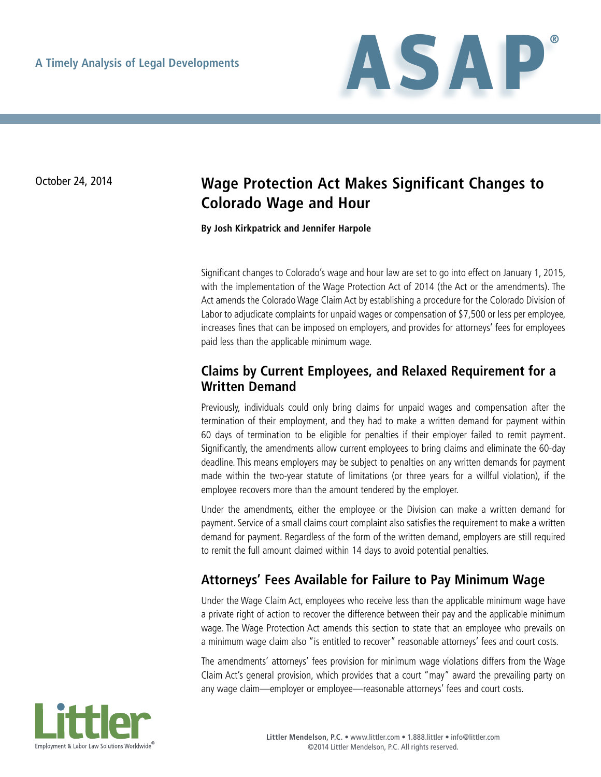

# October 24, 2014 **Wage Protection Act Makes Significant Changes to Colorado Wage and Hour**

**By Josh Kirkpatrick and Jennifer Harpole**

Significant changes to Colorado's wage and hour law are set to go into effect on January 1, 2015, with the implementation of the Wage Protection Act of 2014 (the Act or the amendments). The Act amends the Colorado Wage Claim Act by establishing a procedure for the Colorado Division of Labor to adjudicate complaints for unpaid wages or compensation of \$7,500 or less per employee, increases fines that can be imposed on employers, and provides for attorneys' fees for employees paid less than the applicable minimum wage.

## **Claims by Current Employees, and Relaxed Requirement for a Written Demand**

Previously, individuals could only bring claims for unpaid wages and compensation after the termination of their employment, and they had to make a written demand for payment within 60 days of termination to be eligible for penalties if their employer failed to remit payment. Significantly, the amendments allow current employees to bring claims and eliminate the 60-day deadline. This means employers may be subject to penalties on any written demands for payment made within the two-year statute of limitations (or three years for a willful violation), if the employee recovers more than the amount tendered by the employer.

Under the amendments, either the employee or the Division can make a written demand for payment. Service of a small claims court complaint also satisfies the requirement to make a written demand for payment. Regardless of the form of the written demand, employers are still required to remit the full amount claimed within 14 days to avoid potential penalties.

# **Attorneys' Fees Available for Failure to Pay Minimum Wage**

Under the Wage Claim Act, employees who receive less than the applicable minimum wage have a private right of action to recover the difference between their pay and the applicable minimum wage. The Wage Protection Act amends this section to state that an employee who prevails on a minimum wage claim also "is entitled to recover" reasonable attorneys' fees and court costs.

The amendments' attorneys' fees provision for minimum wage violations differs from the Wage Claim Act's general provision, which provides that a court "may" award the prevailing party on any wage claim—employer or employee—reasonable attorneys' fees and court costs.

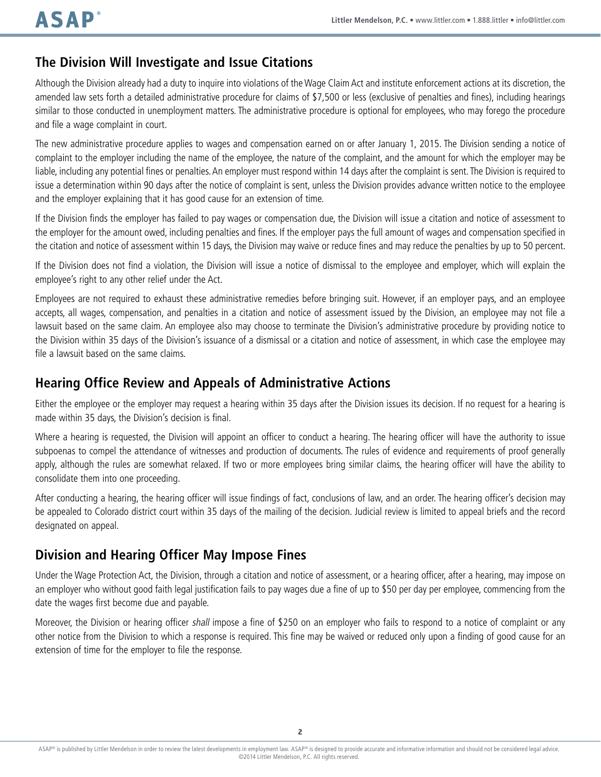## **The Division Will Investigate and Issue Citations**

Although the Division already had a duty to inquire into violations of the Wage Claim Act and institute enforcement actions at its discretion, the amended law sets forth a detailed administrative procedure for claims of \$7,500 or less (exclusive of penalties and fines), including hearings similar to those conducted in unemployment matters. The administrative procedure is optional for employees, who may forego the procedure and file a wage complaint in court.

The new administrative procedure applies to wages and compensation earned on or after January 1, 2015. The Division sending a notice of complaint to the employer including the name of the employee, the nature of the complaint, and the amount for which the employer may be liable, including any potential fines or penalties. An employer must respond within 14 days after the complaint is sent. The Division is required to issue a determination within 90 days after the notice of complaint is sent, unless the Division provides advance written notice to the employee and the employer explaining that it has good cause for an extension of time.

If the Division finds the employer has failed to pay wages or compensation due, the Division will issue a citation and notice of assessment to the employer for the amount owed, including penalties and fines. If the employer pays the full amount of wages and compensation specified in the citation and notice of assessment within 15 days, the Division may waive or reduce fines and may reduce the penalties by up to 50 percent.

If the Division does not find a violation, the Division will issue a notice of dismissal to the employee and employer, which will explain the employee's right to any other relief under the Act.

Employees are not required to exhaust these administrative remedies before bringing suit. However, if an employer pays, and an employee accepts, all wages, compensation, and penalties in a citation and notice of assessment issued by the Division, an employee may not file a lawsuit based on the same claim. An employee also may choose to terminate the Division's administrative procedure by providing notice to the Division within 35 days of the Division's issuance of a dismissal or a citation and notice of assessment, in which case the employee may file a lawsuit based on the same claims.

#### **Hearing Office Review and Appeals of Administrative Actions**

Either the employee or the employer may request a hearing within 35 days after the Division issues its decision. If no request for a hearing is made within 35 days, the Division's decision is final.

Where a hearing is requested, the Division will appoint an officer to conduct a hearing. The hearing officer will have the authority to issue subpoenas to compel the attendance of witnesses and production of documents. The rules of evidence and requirements of proof generally apply, although the rules are somewhat relaxed. If two or more employees bring similar claims, the hearing officer will have the ability to consolidate them into one proceeding.

After conducting a hearing, the hearing officer will issue findings of fact, conclusions of law, and an order. The hearing officer's decision may be appealed to Colorado district court within 35 days of the mailing of the decision. Judicial review is limited to appeal briefs and the record designated on appeal.

## **Division and Hearing Officer May Impose Fines**

Under the Wage Protection Act, the Division, through a citation and notice of assessment, or a hearing officer, after a hearing, may impose on an employer who without good faith legal justification fails to pay wages due a fine of up to \$50 per day per employee, commencing from the date the wages first become due and payable.

Moreover, the Division or hearing officer shall impose a fine of \$250 on an employer who fails to respond to a notice of complaint or any other notice from the Division to which a response is required. This fine may be waived or reduced only upon a finding of good cause for an extension of time for the employer to file the response.